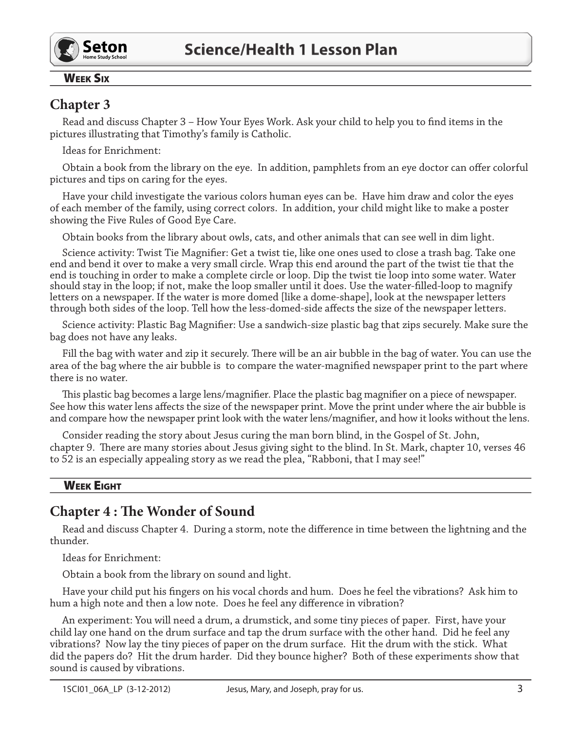

#### **WEEK SIX**

## **Chapter 3**

Read and discuss Chapter 3 - How Your Eyes Work. Ask your child to help you to find items in the pictures illustrating that Timothy's family is Catholic.

Ideas for Enrichment:

Obtain a book from the library on the eye. In addition, pamphlets from an eye doctor can offer colorful pictures and tips on caring for the eyes.

Have your child investigate the various colors human eyes can be. Have him draw and color the eyes of each member of the family, using correct colors. In addition, your child might like to make a poster showing the Five Rules of Good Eye Care.

Obtain books from the library about owls, cats, and other animals that can see well in dim light.

Science activity: Twist Tie Magnifier: Get a twist tie, like one ones used to close a trash bag. Take one end and bend it over to make a very small circle. Wrap this end around the part of the twist tie that the end is touching in order to make a complete circle or loop. Dip the twist tie loop into some water. Water should stay in the loop; if not, make the loop smaller until it does. Use the water-filled-loop to magnify letters on a newspaper. If the water is more domed [like a dome-shape], look at the newspaper letters through both sides of the loop. Tell how the less-domed-side affects the size of the newspaper letters.

Science activity: Plastic Bag Magnifier: Use a sandwich-size plastic bag that zips securely. Make sure the bag does not have any leaks.

Fill the bag with water and zip it securely. There will be an air bubble in the bag of water. You can use the area of the bag where the air bubble is to compare the water-magnified newspaper print to the part where there is no water.

This plastic bag becomes a large lens/magnifier. Place the plastic bag magnifier on a piece of newspaper. See how this water lens affects the size of the newspaper print. Move the print under where the air bubble is and compare how the newspaper print look with the water lens/magnifier, and how it looks without the lens.

Consider reading the story about Jesus curing the man born blind, in the Gospel of St. John, chapter 9. There are many stories about Jesus giving sight to the blind. In St. Mark, chapter 10, verses 46 to 52 is an especially appealing story as we read the plea, "Rabboni, that I may see!"

#### **WEEK EIGHT**

## **Chapter 4: The Wonder of Sound**

Read and discuss Chapter 4. During a storm, note the difference in time between the lightning and the thunder.

Ideas for Enrichment:

Obtain a book from the library on sound and light.

Have your child put his fingers on his vocal chords and hum. Does he feel the vibrations? Ask him to hum a high note and then a low note. Does he feel any difference in vibration?

An experiment: You will need a drum, a drumstick, and some tiny pieces of paper. First, have your child lay one hand on the drum surface and tap the drum surface with the other hand. Did he feel any vibrations? Now lay the tiny pieces of paper on the drum surface. Hit the drum with the stick. What did the papers do? Hit the drum harder. Did they bounce higher? Both of these experiments show that sound is caused by vibrations.